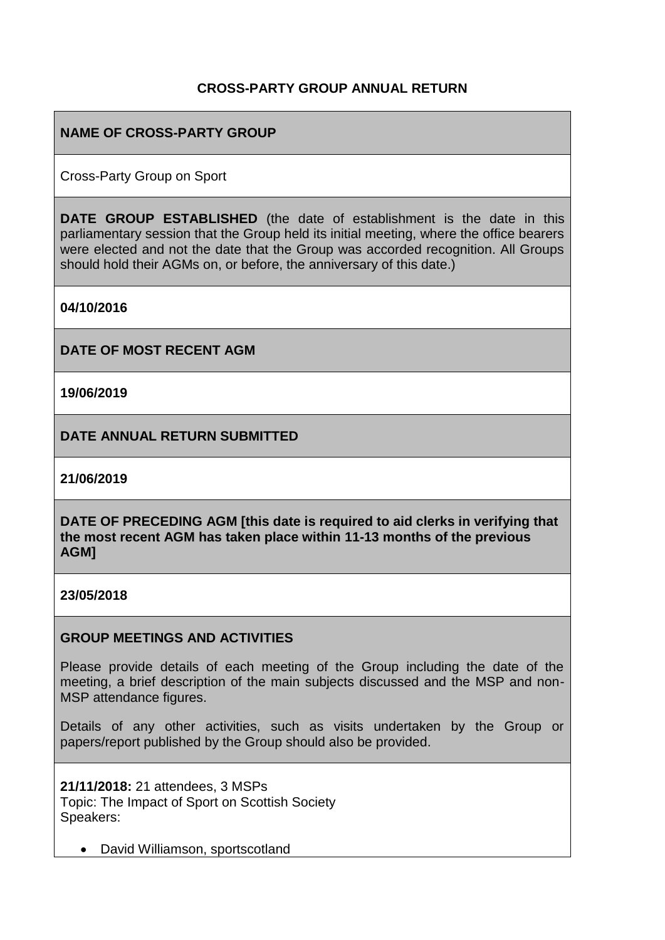## **CROSS-PARTY GROUP ANNUAL RETURN**

# **NAME OF CROSS-PARTY GROUP**

Cross-Party Group on Sport

**DATE GROUP ESTABLISHED** (the date of establishment is the date in this parliamentary session that the Group held its initial meeting, where the office bearers were elected and not the date that the Group was accorded recognition. All Groups should hold their AGMs on, or before, the anniversary of this date.)

**04/10/2016**

**DATE OF MOST RECENT AGM**

**19/06/2019**

**DATE ANNUAL RETURN SUBMITTED**

**21/06/2019**

**DATE OF PRECEDING AGM [this date is required to aid clerks in verifying that the most recent AGM has taken place within 11-13 months of the previous AGM]**

**23/05/2018**

### **GROUP MEETINGS AND ACTIVITIES**

Please provide details of each meeting of the Group including the date of the meeting, a brief description of the main subjects discussed and the MSP and non-MSP attendance figures.

Details of any other activities, such as visits undertaken by the Group or papers/report published by the Group should also be provided.

**21/11/2018:** 21 attendees, 3 MSPs Topic: The Impact of Sport on Scottish Society Speakers:

• David Williamson, sportscotland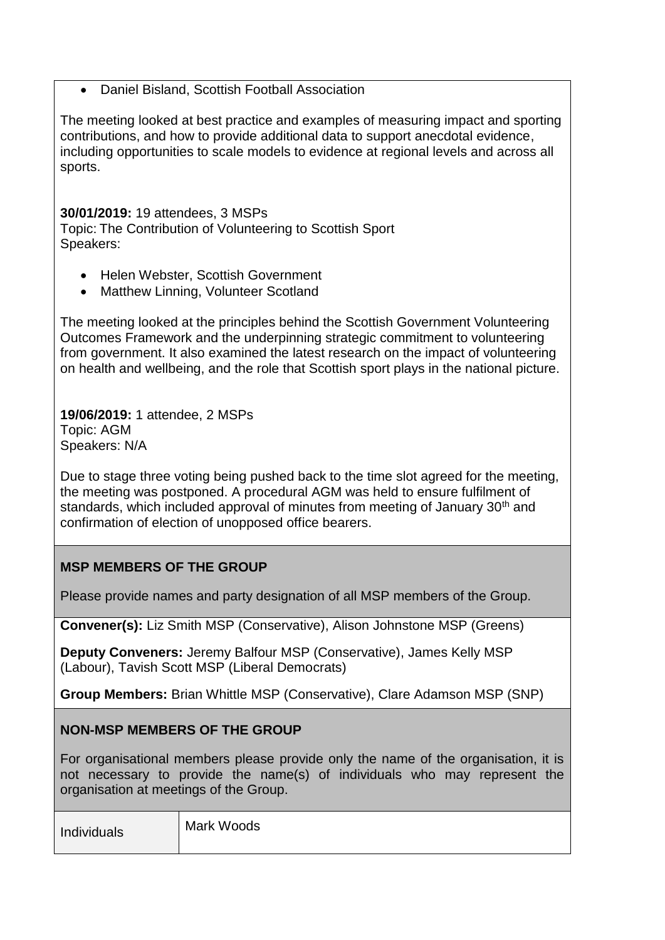### • Daniel Bisland, Scottish Football Association

The meeting looked at best practice and examples of measuring impact and sporting contributions, and how to provide additional data to support anecdotal evidence, including opportunities to scale models to evidence at regional levels and across all sports.

### **30/01/2019:** 19 attendees, 3 MSPs

Topic: The Contribution of Volunteering to Scottish Sport Speakers:

- Helen Webster, Scottish Government
- Matthew Linning, Volunteer Scotland

The meeting looked at the principles behind the Scottish Government Volunteering Outcomes Framework and the underpinning strategic commitment to volunteering from government. It also examined the latest research on the impact of volunteering on health and wellbeing, and the role that Scottish sport plays in the national picture.

**19/06/2019:** 1 attendee, 2 MSPs Topic: AGM Speakers: N/A

Due to stage three voting being pushed back to the time slot agreed for the meeting, the meeting was postponed. A procedural AGM was held to ensure fulfilment of standards, which included approval of minutes from meeting of January 30<sup>th</sup> and confirmation of election of unopposed office bearers.

# **MSP MEMBERS OF THE GROUP**

Please provide names and party designation of all MSP members of the Group.

**Convener(s):** Liz Smith MSP (Conservative), Alison Johnstone MSP (Greens)

**Deputy Conveners:** Jeremy Balfour MSP (Conservative), James Kelly MSP (Labour), Tavish Scott MSP (Liberal Democrats)

**Group Members:** Brian Whittle MSP (Conservative), Clare Adamson MSP (SNP)

## **NON-MSP MEMBERS OF THE GROUP**

For organisational members please provide only the name of the organisation, it is not necessary to provide the name(s) of individuals who may represent the organisation at meetings of the Group.

| Individuals | Mark Woods |
|-------------|------------|
|             |            |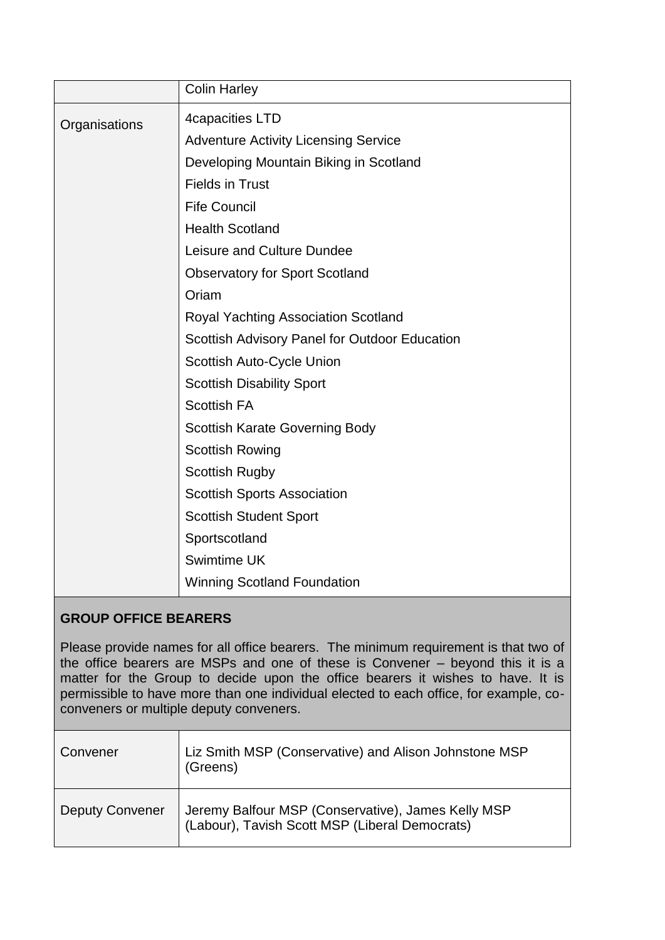|               | <b>Colin Harley</b>                           |
|---------------|-----------------------------------------------|
| Organisations | 4capacities LTD                               |
|               | <b>Adventure Activity Licensing Service</b>   |
|               | Developing Mountain Biking in Scotland        |
|               | <b>Fields in Trust</b>                        |
|               | <b>Fife Council</b>                           |
|               | <b>Health Scotland</b>                        |
|               | Leisure and Culture Dundee                    |
|               | <b>Observatory for Sport Scotland</b>         |
|               | Oriam                                         |
|               | Royal Yachting Association Scotland           |
|               | Scottish Advisory Panel for Outdoor Education |
|               | Scottish Auto-Cycle Union                     |
|               | <b>Scottish Disability Sport</b>              |
|               | <b>Scottish FA</b>                            |
|               | <b>Scottish Karate Governing Body</b>         |
|               | <b>Scottish Rowing</b>                        |
|               | <b>Scottish Rugby</b>                         |
|               | <b>Scottish Sports Association</b>            |
|               | <b>Scottish Student Sport</b>                 |
|               | Sportscotland                                 |
|               | <b>Swimtime UK</b>                            |
|               | <b>Winning Scotland Foundation</b>            |
|               |                                               |

# **GROUP OFFICE BEARERS**

Please provide names for all office bearers. The minimum requirement is that two of the office bearers are MSPs and one of these is Convener – beyond this it is a matter for the Group to decide upon the office bearers it wishes to have. It is permissible to have more than one individual elected to each office, for example, coconveners or multiple deputy conveners.

| Convener               | Liz Smith MSP (Conservative) and Alison Johnstone MSP<br>(Greens)                                      |
|------------------------|--------------------------------------------------------------------------------------------------------|
| <b>Deputy Convener</b> | Jeremy Balfour MSP (Conservative), James Kelly MSP<br>  (Labour), Tavish Scott MSP (Liberal Democrats) |